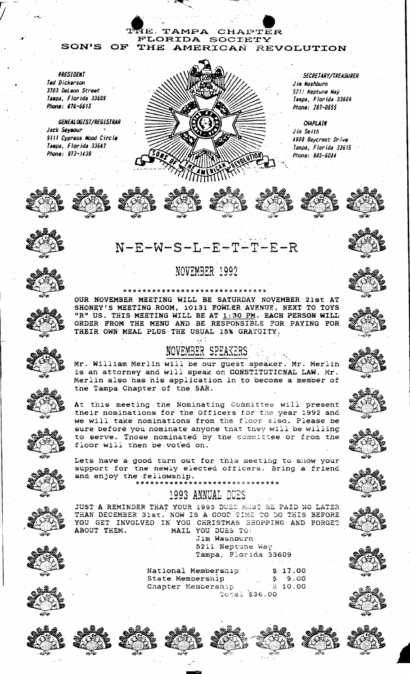TAMPA CHAPTER FLORIDA SOCIETY **SON'S** OF THE AMERICAN REVOLUTION

PRESIDENT Ted Dickerson 3703 Deleon Street Tampa, Florida 33609 Phone: 876-6613

GENEALOGIST/REGISTRAR Jack Seymour 9111 Cypress Wood Circle Tampa, Florida 33647 Phone: 973-1439



**SECRETARY/TREASURER** Jim Washburn 521% Neptune Way Tampa, Florida 33609 Phone: 281-0655

**CHAPLAIN** Jim Smith 4608 Baycrest Drive Tampa, Florida 33615 Phone: 885-6084







# $N-E-W-S-L-E-T-T-E-R$

### NOVEMBER 1992

OUR NOVEMBER MEETING WILL BE SATURDAY NOVEMBER 21st AT





Mr. William Merlin will be our guest speaker. Mr. Merlin is an attorney and will speak on CONSTITUTIONAL LAW. Mr. Merlin also has his application in to become a member of the Tampa Chapter of the SAR.

At this meeting the Nominating Committee will present their nominations for the Officers for the year 1992 and we will take nominations from the floor also. Please be sure before you nominate anyone that they will be willing to serve. Those nominated by the committee or from the floor will then be voted on.

Lets have a good turn out for this meeting to show your support for the newly elected officers. Bring a friend and enjoy the feliowship. \*\*\*\*\*\*\*\*\*\*\*\*\*\*\* \*\*\*\*\*\*\*\*\*\*\*

## 1993 ANNUAL DUES

JUST A REMINDER THAT YOUR 1993 DUES MOST BE PAID NO LATER THAN DECEMBER 31st. NOW IS A GOOD TIME TO DO THIS BEFORE YOU GET INVOLVED IN YOU CHRISTMAS SHOPPING AND FORGET ABOUT THEM. MAIL YOU DUES TO:

Jim Washburn 5211 Neptune Way Tampa, Florida 33609

|                  | National Membership | ٠ | S 17.00   |
|------------------|---------------------|---|-----------|
| State Mempership |                     |   | S 9.00    |
|                  | Chapter Membership  |   | 8, 10, 00 |
|                  | Total \$36.00       |   |           |